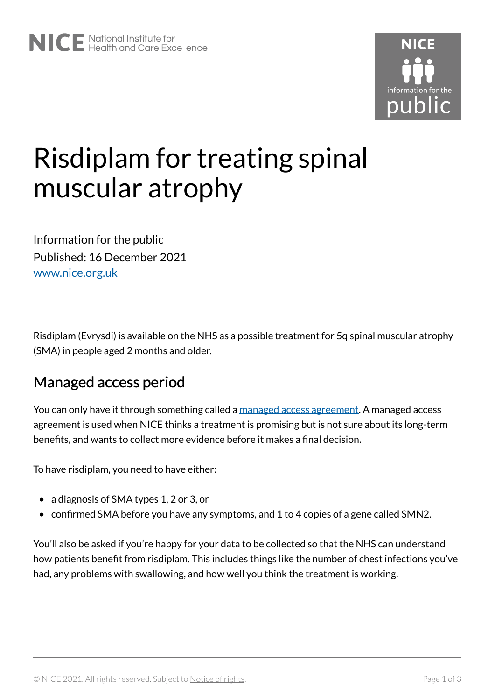

# Risdiplam for treating spinal muscular atrophy

Information for the public Published: 16 December 2021 [www.nice.org.uk](https://www.nice.org.uk/) 

Risdiplam (Evrysdi) is available on the NHS as a possible treatment for 5q spinal muscular atrophy (SMA) in people aged 2 months and older.

### Managed access period

You can only have it through something called a [managed access agreement.](https://www.nice.org.uk/guidance/ta755/resources) A managed access agreement is used when NICE thinks a treatment is promising but is not sure about its long-term benefits, and wants to collect more evidence before it makes a final decision.

To have risdiplam, you need to have either:

- a diagnosis of SMA types 1, 2 or 3, or
- confirmed SMA before you have any symptoms, and 1 to 4 copies of a gene called SMN2.

You'll also be asked if you're happy for your data to be collected so that the NHS can understand how patients benefit from risdiplam. This includes things like the number of chest infections you've had, any problems with swallowing, and how well you think the treatment is working.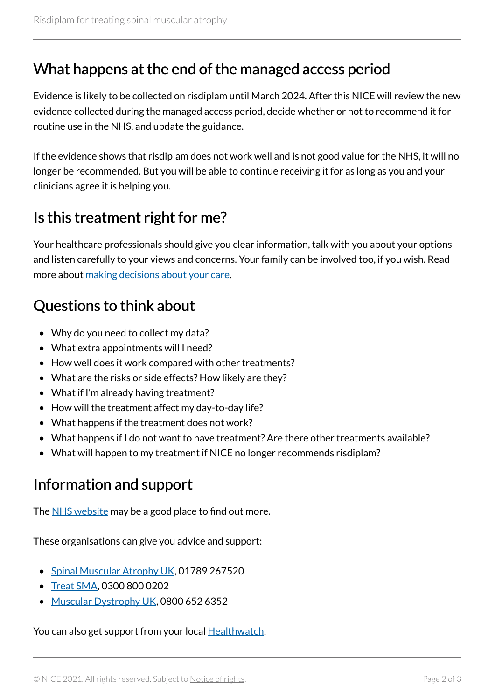#### What happens at the end of the managed access period

Evidence is likely to be collected on risdiplam until March 2024. After this NICE will review the new evidence collected during the managed access period, decide whether or not to recommend it for routine use in the NHS, and update the guidance.

If the evidence shows that risdiplam does not work well and is not good value for the NHS, it will no longer be recommended. But you will be able to continue receiving it for as long as you and your clinicians agree it is helping you.

### Is this treatment right for me?

Your healthcare professionals should give you clear information, talk with you about your options and listen carefully to your views and concerns. Your family can be involved too, if you wish. Read more about [making decisions about your care](https://www.nice.org.uk/about/nice-communities/public-involvement/your-care).

## Questions to think about

- Why do you need to collect my data?
- What extra appointments will I need?
- How well does it work compared with other treatments?
- What are the risks or side effects? How likely are they?
- What if I'm already having treatment?
- How will the treatment affect my day-to-day life?
- What happens if the treatment does not work?
- What happens if I do not want to have treatment? Are there other treatments available?
- What will happen to my treatment if NICE no longer recommends risdiplam?

### Information and support

The [NHS website](https://www.nhs.uk/conditions/spinal-muscular-atrophy-sma/) may be a good place to find out more.

These organisations can give you advice and support:

- [Spinal Muscular Atrophy UK,](https://smauk.org.uk/) 01789 267520
- [Treat SMA](https://www.treatsma.uk/), 0300 800 0202
- [Muscular Dystrophy UK,](https://www.musculardystrophyuk.org/) 0800 652 6352

You can also get support from your local **Healthwatch**.